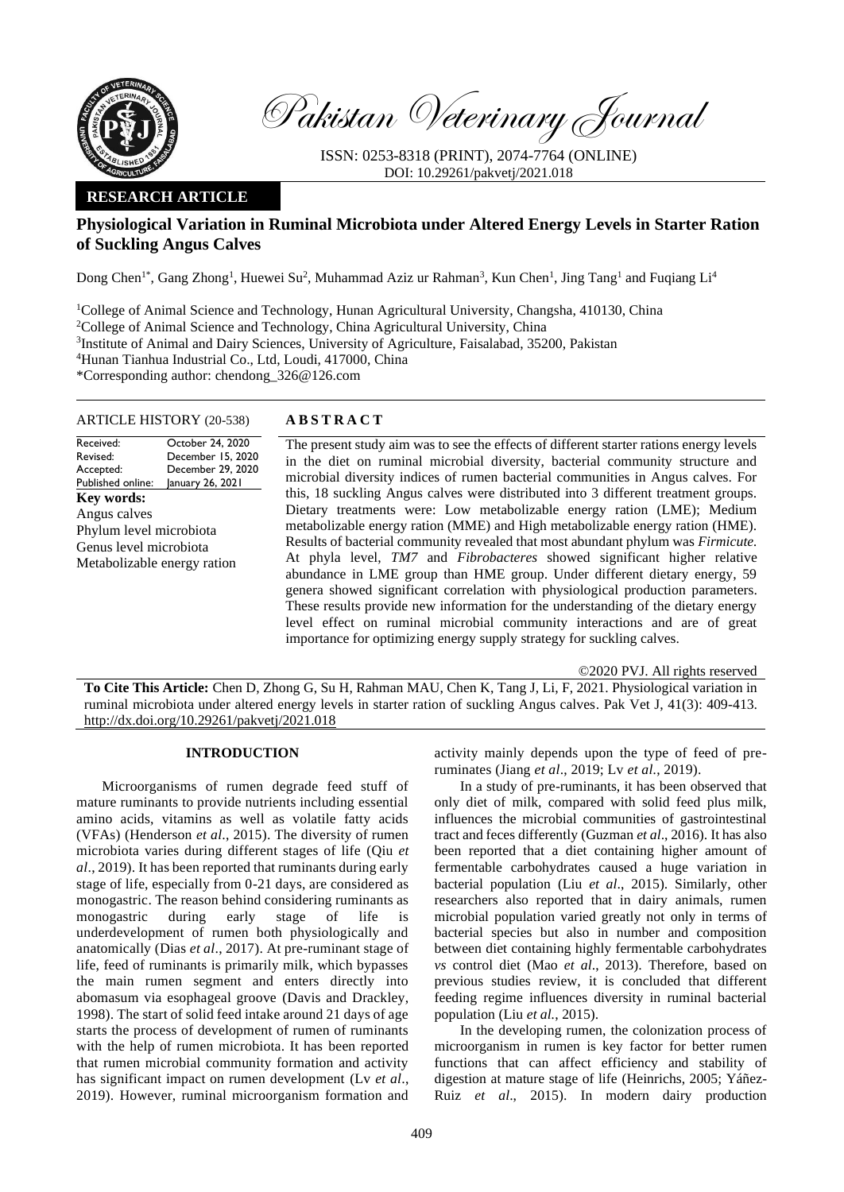

Pakistan Veterinary Journal

ISSN: 0253-8318 (PRINT), 2074-7764 (ONLINE) DOI: 10.29261/pakvetj/2021.018

# **RESEARCH ARTICLE**

# **Physiological Variation in Ruminal Microbiota under Altered Energy Levels in Starter Ration of Suckling Angus Calves**

Dong Chen<sup>1\*</sup>, Gang Zhong<sup>1</sup>, Huewei Su<sup>2</sup>, Muhammad Aziz ur Rahman<sup>3</sup>, Kun Chen<sup>1</sup>, Jing Tang<sup>1</sup> and Fuqiang Li<sup>4</sup>

<sup>1</sup>College of Animal Science and Technology, Hunan Agricultural University, Changsha, 410130, China <sup>2</sup>College of Animal Science and Technology, China Agricultural University, China <sup>3</sup>Institute of Animal and Dairy Sciences, University of Agriculture, Faisalabad, 35200, Pakistan <sup>4</sup>Hunan Tianhua Industrial Co., Ltd, Loudi, 417000, China \*Corresponding author: [chendong\\_326@126.com](mailto:chendong_326@126.com)

#### ARTICLE HISTORY (20-538) **A B S T R A C T**

Received: Revised: Accepted: Published online: October 24, 2020 December 15, 2020 December 29, 2020 January 26, 2021 **Key words:**  Angus calves Phylum level microbiota Genus level microbiota Metabolizable energy ration

The present study aim was to see the effects of different starter rations energy levels in the diet on ruminal microbial diversity, bacterial community structure and microbial diversity indices of rumen bacterial communities in Angus calves. For this, 18 suckling Angus calves were distributed into 3 different treatment groups. Dietary treatments were: Low metabolizable energy ration (LME); Medium metabolizable energy ration (MME) and High metabolizable energy ration (HME). Results of bacterial community revealed that most abundant phylum was *Firmicute.*  At phyla level, *TM7* and *Fibrobacteres* showed significant higher relative abundance in LME group than HME group. Under different dietary energy, 59 genera showed significant correlation with physiological production parameters. These results provide new information for the understanding of the dietary energy level effect on ruminal microbial community interactions and are of great importance for optimizing energy supply strategy for suckling calves.

©2020 PVJ. All rights reserved

**To Cite This Article:** Chen D, Zhong G, Su H, Rahman MAU, Chen K, Tang J, Li, F, 2021. Physiological variation in ruminal microbiota under altered energy levels in starter ration of suckling Angus calves. Pak Vet J, 41(3): 409-413. [http://dx.doi.org/10.29261/pakvetj/2021.018](http://pvj.com.pk/in_press/20-538.pdf)

### **INTRODUCTION**

Microorganisms of rumen degrade feed stuff of mature ruminants to provide nutrients including essential amino acids, vitamins as well as volatile fatty acids (VFAs) (Henderson *et al*., 2015). The diversity of rumen microbiota varies during different stages of life (Qiu *et al*., 2019). It has been reported that ruminants during early stage of life, especially from 0-21 days, are considered as monogastric. The reason behind considering ruminants as monogastric during early stage of life is underdevelopment of rumen both physiologically and anatomically (Dias *et al*., 2017). At pre-ruminant stage of life, feed of ruminants is primarily milk, which bypasses the main rumen segment and enters directly into abomasum via esophageal groove (Davis and Drackley, 1998). The start of solid feed intake around 21 days of age starts the process of development of rumen of ruminants with the help of rumen microbiota. It has been reported that rumen microbial community formation and activity has significant impact on rumen development (Lv *et al*., 2019). However, ruminal microorganism formation and

activity mainly depends upon the type of feed of preruminates (Jiang *et al*., 2019; Lv *et al.*, 2019).

In a study of pre-ruminants, it has been observed that only diet of milk, compared with solid feed plus milk, influences the microbial communities of gastrointestinal tract and feces differently (Guzman *et al*., 2016). It has also been reported that a diet containing higher amount of fermentable carbohydrates caused a huge variation in bacterial population (Liu *et al*., 2015). Similarly, other researchers also reported that in dairy animals, rumen microbial population varied greatly not only in terms of bacterial species but also in number and composition between diet containing highly fermentable carbohydrates *vs* control diet (Mao *et al*., 2013). Therefore, based on previous studies review, it is concluded that different feeding regime influences diversity in ruminal bacterial population (Liu *et al.*, 2015).

In the developing rumen, the colonization process of microorganism in rumen is key factor for better rumen functions that can affect efficiency and stability of digestion at mature stage of life (Heinrichs, 2005; Yáñez-Ruiz *et al*., 2015). In modern dairy production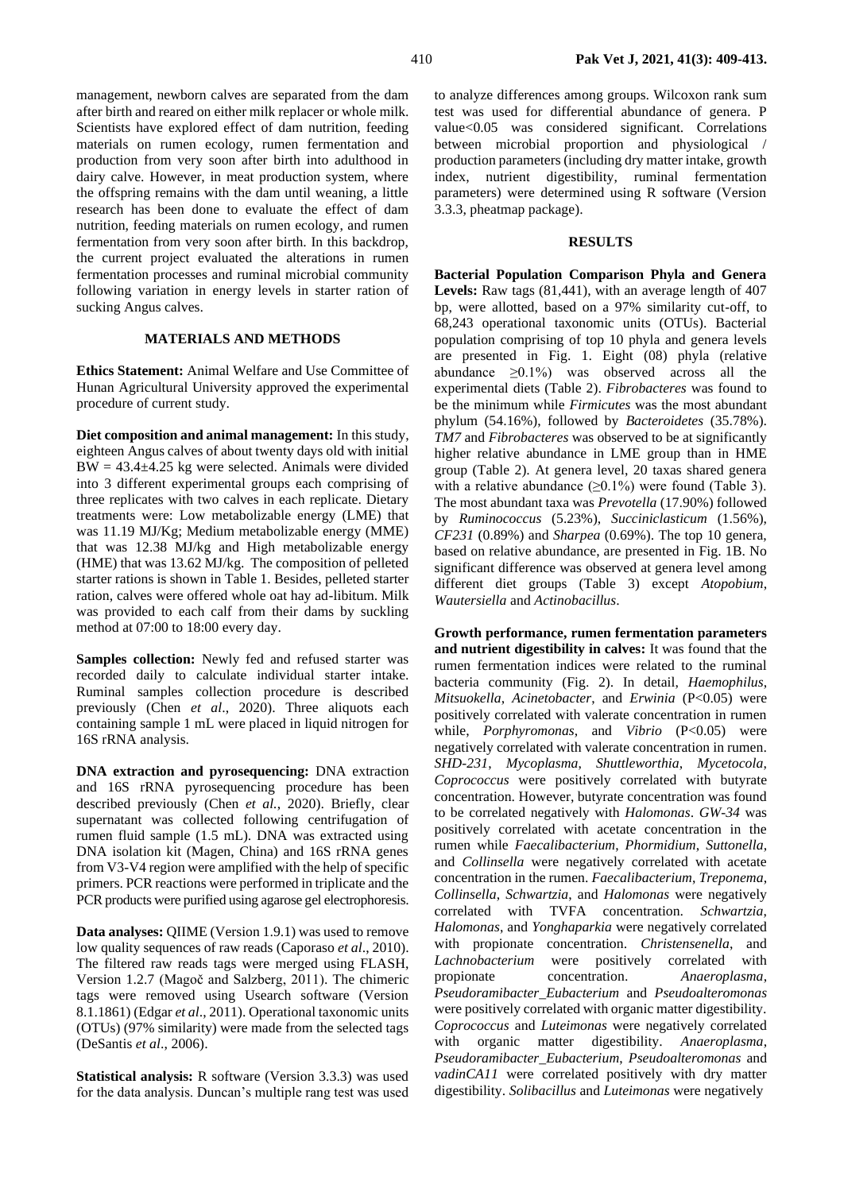management, newborn calves are separated from the dam after birth and reared on either milk replacer or whole milk. Scientists have explored effect of dam nutrition, feeding materials on rumen ecology, rumen fermentation and production from very soon after birth into adulthood in dairy calve. However, in meat production system, where the offspring remains with the dam until weaning, a little research has been done to evaluate the effect of dam nutrition, feeding materials on rumen ecology, and rumen fermentation from very soon after birth. In this backdrop, the current project evaluated the alterations in rumen fermentation processes and ruminal microbial community following variation in energy levels in starter ration of sucking Angus calves.

## **MATERIALS AND METHODS**

**Ethics Statement:** Animal Welfare and Use Committee of Hunan Agricultural University approved the experimental procedure of current study.

**Diet composition and animal management:** In this study, eighteen Angus calves of about twenty days old with initial  $BW = 43.4 \pm 4.25$  kg were selected. Animals were divided into 3 different experimental groups each comprising of three replicates with two calves in each replicate. Dietary treatments were: Low metabolizable energy (LME) that was 11.19 MJ/Kg; Medium metabolizable energy (MME) that was 12.38 MJ/kg and High metabolizable energy (HME) that was 13.62 MJ/kg. The composition of pelleted starter rations is shown in Table 1. Besides, pelleted starter ration, calves were offered whole oat hay ad-libitum. Milk was provided to each calf from their dams by suckling method at 07:00 to 18:00 every day.

**Samples collection:** Newly fed and refused starter was recorded daily to calculate individual starter intake. Ruminal samples collection procedure is described previously (Chen *et al*., 2020). Three aliquots each containing sample 1 mL were placed in liquid nitrogen for 16S rRNA analysis.

**DNA extraction and pyrosequencing:** DNA extraction and 16S rRNA pyrosequencing procedure has been described previously (Chen *et al.*, 2020). Briefly, clear supernatant was collected following centrifugation of rumen fluid sample (1.5 mL). DNA was extracted using DNA isolation kit (Magen, China) and 16S rRNA genes from V3-V4 region were amplified with the help of specific primers. PCR reactions were performed in triplicate and the PCR products were purified using agarose gel electrophoresis.

**Data analyses:** QIIME (Version 1.9.1) was used to remove low quality sequences of raw reads (Caporaso *et al*., 2010). The filtered raw reads tags were merged using FLASH, Version 1.2.7 (Magoč and Salzberg, 2011). The chimeric tags were removed using Usearch software (Version 8.1.1861) (Edgar *et al*., 2011). Operational taxonomic units (OTUs) (97% similarity) were made from the selected tags (DeSantis *et al*., 2006).

**Statistical analysis:** R software (Version 3.3.3) was used for the data analysis. Duncan's multiple rang test was used

to analyze differences among groups. Wilcoxon rank sum test was used for differential abundance of genera. P value<0.05 was considered significant. Correlations between microbial proportion and physiological / production parameters (including dry matter intake, growth index, nutrient digestibility, ruminal fermentation parameters) were determined using R software (Version 3.3.3, pheatmap package).

#### **RESULTS**

**Bacterial Population Comparison Phyla and Genera**  Levels: Raw tags (81,441), with an average length of 407 bp, were allotted, based on a 97% similarity cut-off, to 68,243 operational taxonomic units (OTUs). Bacterial population comprising of top 10 phyla and genera levels are presented in Fig. 1. Eight (08) phyla (relative abundance  $\geq 0.1\%$  was observed across all the experimental diets (Table 2). *Fibrobacteres* was found to be the minimum while *Firmicutes* was the most abundant phylum (54.16%), followed by *Bacteroidetes* (35.78%). *TM7* and *Fibrobacteres* was observed to be at significantly higher relative abundance in LME group than in HME group (Table 2). At genera level, 20 taxas shared genera with a relative abundance  $(\geq 0.1\%)$  were found (Table 3). The most abundant taxa was *Prevotella* (17.90%) followed by *Ruminococcus* (5.23%), *Succiniclasticum* (1.56%), *CF231* (0.89%) and *Sharpea* (0.69%). The top 10 genera, based on relative abundance, are presented in Fig. 1B. No significant difference was observed at genera level among different diet groups (Table 3) except *Atopobium*, *Wautersiella* and *Actinobacillus*.

**Growth performance, rumen fermentation parameters and nutrient digestibility in calves:** It was found that the rumen fermentation indices were related to the ruminal bacteria community (Fig. 2). In detail, *Haemophilus*, *Mitsuokella*, *Acinetobacter*, and *Erwinia* (P<0.05) were positively correlated with valerate concentration in rumen while, *Porphyromonas*, and *Vibrio* (P<0.05) were negatively correlated with valerate concentration in rumen. *SHD-231*, *Mycoplasma*, *Shuttleworthia*, *Mycetocola*, *Coprococcus* were positively correlated with butyrate concentration. However, butyrate concentration was found to be correlated negatively with *Halomonas*. *GW-34* was positively correlated with acetate concentration in the rumen while *Faecalibacterium*, *Phormidium*, *Suttonella*, and *Collinsella* were negatively correlated with acetate concentration in the rumen. *Faecalibacterium*, *Treponema*, *Collinsella*, *Schwartzia*, and *Halomonas* were negatively correlated with TVFA concentration. *Schwartzia*, *Halomonas*, and *Yonghaparkia* were negatively correlated with propionate concentration. *Christensenella*, and *Lachnobacterium* were positively correlated with propionate concentration. *Anaeroplasma*, *Pseudoramibacter\_Eubacterium* and *Pseudoalteromonas* were positively correlated with organic matter digestibility. *Coprococcus* and *Luteimonas* were negatively correlated with organic matter digestibility. *Anaeroplasma*, *Pseudoramibacter\_Eubacterium*, *Pseudoalteromonas* and *vadinCA11* were correlated positively with dry matter digestibility. *Solibacillus* and *Luteimonas* were negatively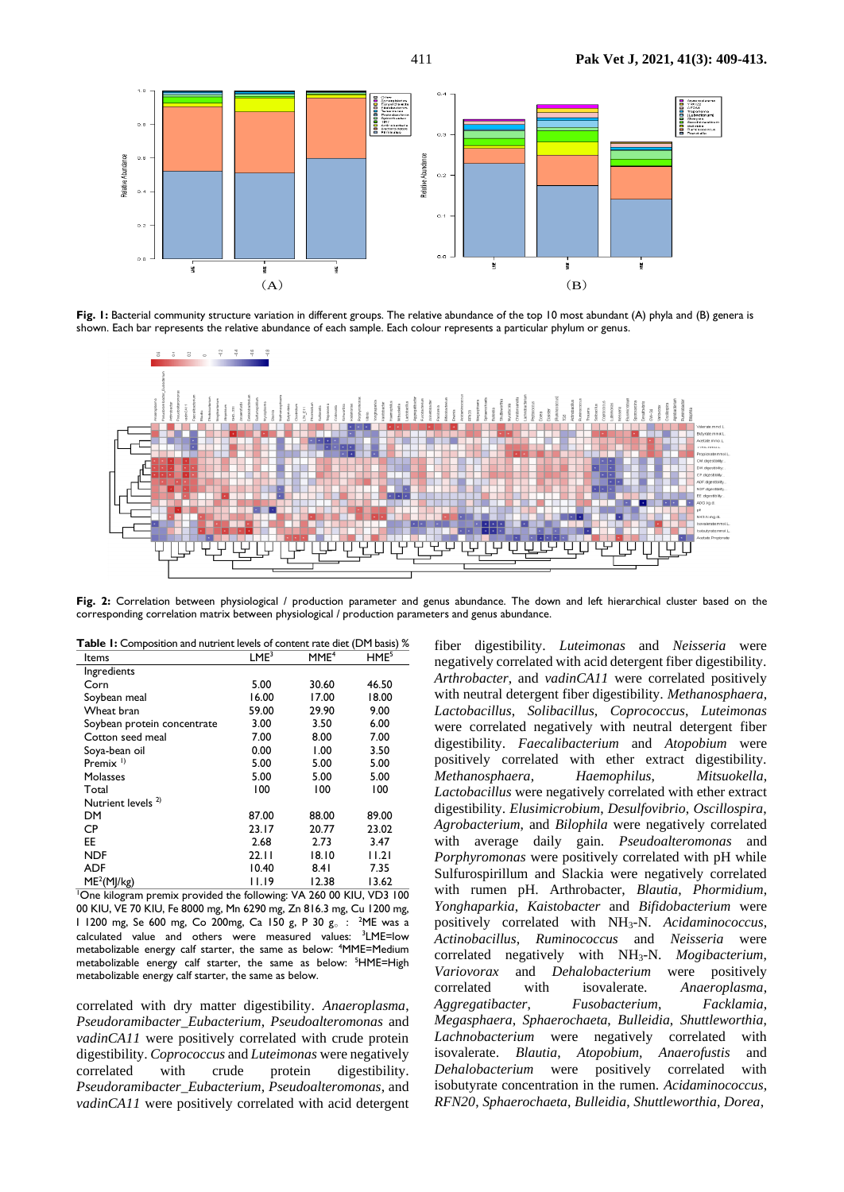

Fig. 1: Bacterial community structure variation in different groups. The relative abundance of the top 10 most abundant (A) phyla and (B) genera is shown. Each bar represents the relative abundance of each sample. Each colour represents a particular phylum or genus.



**Fig. 2:** Correlation between physiological / production parameter and genus abundance. The down and left hierarchical cluster based on the corresponding correlation matrix between physiological / production parameters and genus abundance.

| Table 1: Composition and nutrient levels of content rate diet (DM basis) % |  |
|----------------------------------------------------------------------------|--|
|----------------------------------------------------------------------------|--|

| Items                         | LME <sup>3</sup> | MME <sup>4</sup> | HME <sup>5</sup> |
|-------------------------------|------------------|------------------|------------------|
| Ingredients                   |                  |                  |                  |
| Corn                          | 5.00             | 30.60            | 46.50            |
| Soybean meal                  | 16.00            | 17.00            | 18.00            |
| Wheat bran                    | 59.00            | 29.90            | 9.00             |
| Soybean protein concentrate   | 3.00             | 3.50             | 6.00             |
| Cotton seed meal              | 7.00             | 8.00             | 7.00             |
| Soya-bean oil                 | 0.00             | 1.00             | 3.50             |
| Premix $\frac{1}{2}$          | 5.00             | 5.00             | 5.00             |
| Molasses                      | 5.00             | 5.00             | 5.00             |
| Total                         | 100              | 100              | 100              |
| Nutrient levels <sup>2)</sup> |                  |                  |                  |
| DM                            | 87.00            | 88.00            | 89.00            |
| <b>CP</b>                     | 23.17            | 20.77            | 23.02            |
| EE                            | 2.68             | 2.73             | 3.47             |
| <b>NDF</b>                    | 22.11            | 18.10            | 11.21            |
| <b>ADF</b>                    | 10.40            | 8.4 I            | 7.35             |
| ME <sup>2</sup> (M]/kg)       | 11.19            | 12.38            | 13.62            |

<sup>1</sup>One kilogram premix provided the following: VA 260 00 KIU, VD3 100 00 KIU, VE 70 KIU, Fe 8000 mg, Mn 6290 mg, Zn 816.3 mg, Cu 1200 mg, I 1200 mg, Se 600 mg, Co 200mg, Ca 150 g, P 30 g. : <sup>2</sup>ME was a calculated value and others were measured values: <sup>3</sup>LME=low metabolizable energy calf starter, the same as below: <sup>4</sup>MME=Medium metabolizable energy calf starter, the same as below: <sup>5</sup>HME=High metabolizable energy calf starter, the same as below.

correlated with dry matter digestibility. *Anaeroplasma*, *Pseudoramibacter\_Eubacterium*, *Pseudoalteromonas* and *vadinCA11* were positively correlated with crude protein digestibility. *Coprococcus* and *Luteimonas* were negatively correlated with crude protein digestibility. *Pseudoramibacter\_Eubacterium*, *Pseudoalteromonas*, and *vadinCA11* were positively correlated with acid detergent

fiber digestibility. *Luteimonas* and *Neisseria* were negatively correlated with acid detergent fiber digestibility. *Arthrobacter*, and *vadinCA11* were correlated positively with neutral detergent fiber digestibility. *Methanosphaera*, *Lactobacillus*, *Solibacillus*, *Coprococcus*, *Luteimonas* were correlated negatively with neutral detergent fiber digestibility. *Faecalibacterium* and *Atopobium* were positively correlated with ether extract digestibility. *Methanosphaera*, *Haemophilus*, *Mitsuokella*, *Lactobacillus* were negatively correlated with ether extract digestibility. *Elusimicrobium*, *Desulfovibrio*, *Oscillospira*, *Agrobacterium*, and *Bilophila* were negatively correlated with average daily gain. *Pseudoalteromonas* and *Porphyromonas* were positively correlated with pH while Sulfurospirillum and Slackia were negatively correlated with rumen pH. Arthrobacter, *Blautia*, *Phormidium*, *Yonghaparkia*, *Kaistobacter* and *Bifidobacterium* were positively correlated with NH3-N. *Acidaminococcus*, *Actinobacillus*, *Ruminococcus* and *Neisseria* were correlated negatively with NH3-N. *Mogibacterium*, *Variovorax* and *Dehalobacterium* were positively correlated with isovalerate. *Anaeroplasma*, *Aggregatibacter*, *Fusobacterium*, *Facklamia*, *Megasphaera*, *Sphaerochaeta*, *Bulleidia*, *Shuttleworthia*, *Lachnobacterium* were negatively correlated with isovalerate. *Blautia*, *Atopobium, Anaerofustis* and *Dehalobacterium* were positively correlated with isobutyrate concentration in the rumen. *Acidaminococcus*, *RFN20*, *Sphaerochaeta*, *Bulleidia*, *Shuttleworthia*, *Dorea*,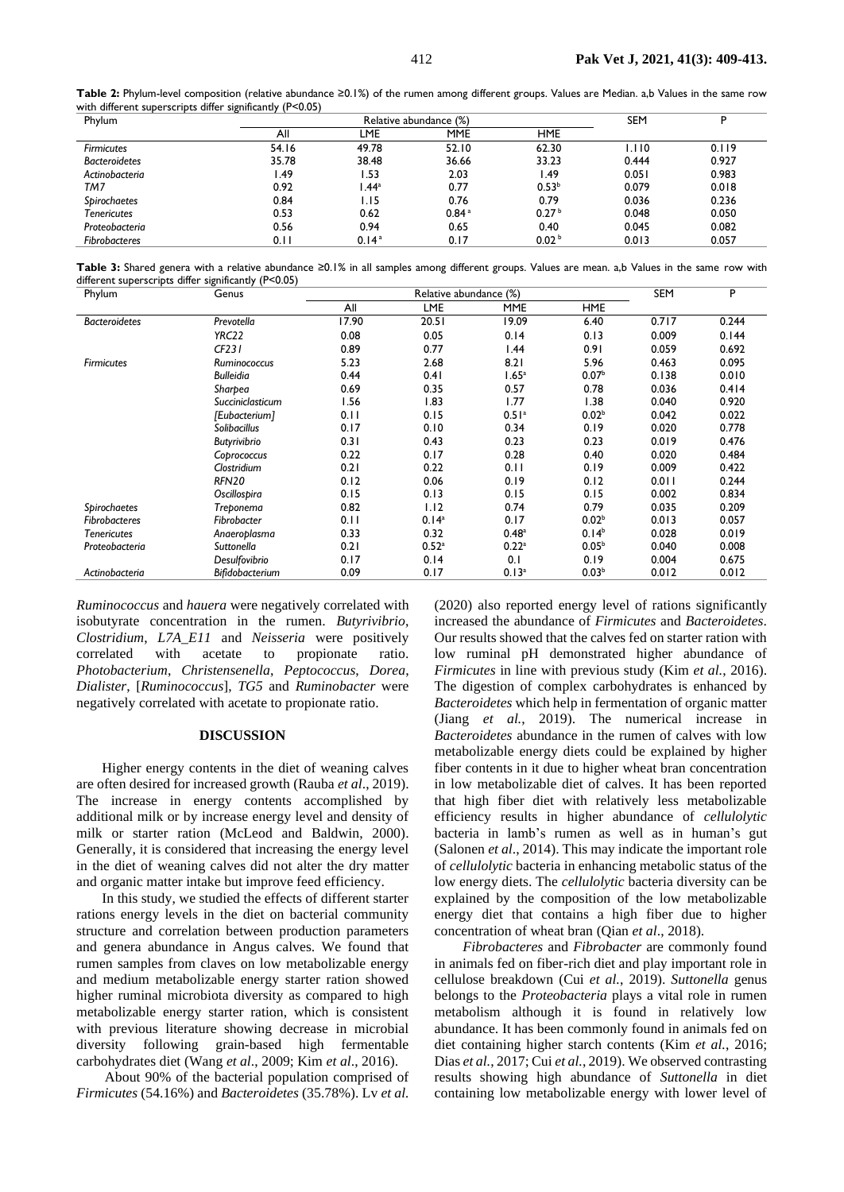|                                                           | Table 2: Phylum-level composition (relative abundance ≥0.1%) of the rumen among different groups. Values are Median. a,b Values in the same row |
|-----------------------------------------------------------|-------------------------------------------------------------------------------------------------------------------------------------------------|
| with different superscripts differ significantly (P<0.05) |                                                                                                                                                 |

| Phylum               | Relative abundance (%) |                   |                   |                   | <b>SEM</b> |       |
|----------------------|------------------------|-------------------|-------------------|-------------------|------------|-------|
|                      | All                    | LME               | <b>MME</b>        | <b>HME</b>        |            |       |
| <b>Firmicutes</b>    | 54.16                  | 49.78             | 52.10             | 62.30             | 1.110      | 0.119 |
| <b>Bacteroidetes</b> | 35.78                  | 38.48             | 36.66             | 33.23             | 0.444      | 0.927 |
| Actinobacteria       | . 49                   | .53               | 2.03              | l.49              | 0.051      | 0.983 |
| TM7                  | 0.92                   | .44 <sup>a</sup>  | 0.77              | 0.53 <sup>b</sup> | 0.079      | 0.018 |
| Spirochaetes         | 0.84                   | l.I5              | 0.76              | 0.79              | 0.036      | 0.236 |
| <b>Tenericutes</b>   | 0.53                   | 0.62              | 0.84 <sup>a</sup> | 0.27 <sup>b</sup> | 0.048      | 0.050 |
| Proteobacteria       | 0.56                   | 0.94              | 0.65              | 0.40              | 0.045      | 0.082 |
| Fibrobacteres        | 0.11                   | 0.14 <sup>a</sup> | 0.17              | 0.02 <sup>b</sup> | 0.013      | 0.057 |

**Table 3:** Shared genera with a relative abundance ≥0.1% in all samples among different groups. Values are mean. a,b Values in the same row with different superscripts differ significantly (P<0.05)

| Phylum               | Genus               | Relative abundance (%) |                   |                     |                   | SEM   | P     |
|----------------------|---------------------|------------------------|-------------------|---------------------|-------------------|-------|-------|
|                      |                     | All                    | <b>LME</b>        | <b>MME</b>          | HME               |       |       |
| <b>Bacteroidetes</b> | Prevotella          | 17.90                  | 20.51             | 19.09               | 6.40              | 0.717 | 0.244 |
|                      | YRC22               | 0.08                   | 0.05              | 0.14                | 0.13              | 0.009 | 0.144 |
|                      | CF231               | 0.89                   | 0.77              | .44                 | 0.91              | 0.059 | 0.692 |
| <b>Firmicutes</b>    | Ruminococcus        | 5.23                   | 2.68              | 8.21                | 5.96              | 0.463 | 0.095 |
|                      | <b>Bulleidia</b>    | 0.44                   | 0.41              | 1.65 <sup>a</sup>   | 0.07 <sup>b</sup> | 0.138 | 0.010 |
|                      | Sharbea             | 0.69                   | 0.35              | 0.57                | 0.78              | 0.036 | 0.414 |
|                      | Succiniclasticum    | 1.56                   | 1.83              | l.77                | 1.38              | 0.040 | 0.920 |
|                      | [Eubacterium]       | 0.11                   | 0.15              | 0.51 <sup>a</sup>   | 0.02 <sup>b</sup> | 0.042 | 0.022 |
|                      | <b>Solibacillus</b> | 0.17                   | 0.10              | 0.34                | 0.19              | 0.020 | 0.778 |
|                      | <b>Butyrivibrio</b> | 0.31                   | 0.43              | 0.23                | 0.23              | 0.019 | 0.476 |
|                      | Coprococcus         | 0.22                   | 0.17              | 0.28                | 0.40              | 0.020 | 0.484 |
|                      | Clostridium         | 0.21                   | 0.22              | 0.11                | 0.19              | 0.009 | 0.422 |
|                      | <b>RFN20</b>        | 0.12                   | 0.06              | 0.19                | 0.12              | 0.011 | 0.244 |
|                      | Oscillospira        | 0.15                   | 0.13              | 0.15                | 0.15              | 0.002 | 0.834 |
| Spirochaetes         | <b>Treponema</b>    | 0.82                   | 1.12              | 0.74                | 0.79              | 0.035 | 0.209 |
| <b>Fibrobacteres</b> | Fibrobacter         | 0.11                   | 0.14 <sup>a</sup> | 0.17                | 0.02 <sup>b</sup> | 0.013 | 0.057 |
| <b>Tenericutes</b>   | Anaeroplasma        | 0.33                   | 0.32              | 0.48 <sup>a</sup>   | 0.14 <sup>b</sup> | 0.028 | 0.019 |
| Proteobacteria       | Suttonella          | 0.21                   | 0.52 <sup>a</sup> | $0.22$ <sup>a</sup> | 0.05 <sup>b</sup> | 0.040 | 0.008 |
|                      | Desulfovibrio       | 0.17                   | 0.14              | 0.1                 | 0.19              | 0.004 | 0.675 |
| Actinobacteria       | Bifidobacterium     | 0.09                   | 0.17              | 0.13 <sup>a</sup>   | 0.03 <sup>b</sup> | 0.012 | 0.012 |

*Ruminococcus* and *hauera* were negatively correlated with isobutyrate concentration in the rumen. *Butyrivibrio*, *Clostridium*, *L7A\_E11* and *Neisseria* were positively correlated with acetate to propionate ratio. *Photobacterium*, *Christensenella*, *Peptococcus*, *Dorea*, *Dialister*, [*Ruminococcus*], *TG5* and *Ruminobacter* were negatively correlated with acetate to propionate ratio.

#### **DISCUSSION**

Higher energy contents in the diet of weaning calves are often desired for increased growth (Rauba *et al*., 2019). The increase in energy contents accomplished by additional milk or by increase energy level and density of milk or starter ration (McLeod and Baldwin, 2000). Generally, it is considered that increasing the energy level in the diet of weaning calves did not alter the dry matter and organic matter intake but improve feed efficiency.

In this study, we studied the effects of different starter rations energy levels in the diet on bacterial community structure and correlation between production parameters and genera abundance in Angus calves. We found that rumen samples from claves on low metabolizable energy and medium metabolizable energy starter ration showed higher ruminal microbiota diversity as compared to high metabolizable energy starter ration, which is consistent with previous literature showing decrease in microbial diversity following grain-based high fermentable carbohydrates diet (Wang *et al*., 2009; Kim *et al*., 2016).

About 90% of the bacterial population comprised of *Firmicutes* (54.16%) and *Bacteroidetes* (35.78%). Lv *et al.*

(2020) also reported energy level of rations significantly increased the abundance of *Firmicutes* and *Bacteroidetes*. Our results showed that the calves fed on starter ration with low ruminal pH demonstrated higher abundance of *Firmicutes* in line with previous study (Kim *et al.*, 2016). The digestion of complex carbohydrates is enhanced by *Bacteroidetes* which help in fermentation of organic matter (Jiang *et al.*, 2019). The numerical increase in *Bacteroidetes* abundance in the rumen of calves with low metabolizable energy diets could be explained by higher fiber contents in it due to higher wheat bran concentration in low metabolizable diet of calves. It has been reported that high fiber diet with relatively less metabolizable efficiency results in higher abundance of *cellulolytic* bacteria in lamb's rumen as well as in human's gut (Salonen *et al*., 2014). This may indicate the important role of *cellulolytic* bacteria in enhancing metabolic status of the low energy diets. The *cellulolytic* bacteria diversity can be explained by the composition of the low metabolizable energy diet that contains a high fiber due to higher concentration of wheat bran (Qian *et al*., 2018).

*Fibrobacteres* and *Fibrobacter* are commonly found in animals fed on fiber-rich diet and play important role in cellulose breakdown (Cui *et al.*, 2019). *Suttonella* genus belongs to the *Proteobacteria* plays a vital role in rumen metabolism although it is found in relatively low abundance. It has been commonly found in animals fed on diet containing higher starch contents (Kim *et al.*, 2016; Dias *et al.*, 2017; Cui *et al.*, 2019). We observed contrasting results showing high abundance of *Suttonella* in diet containing low metabolizable energy with lower level of